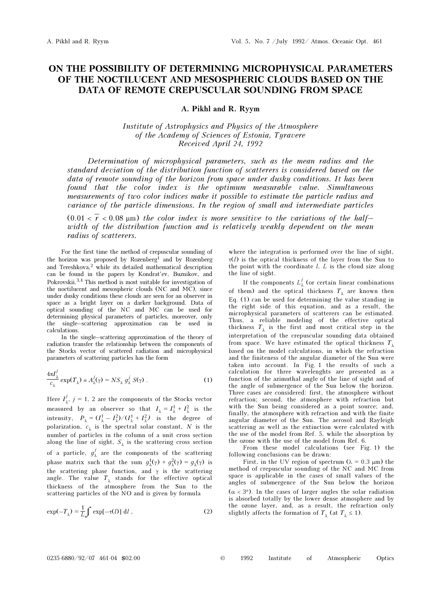## ON THE POSSIBILITY OF DETERMINING MICROPHYSICAL PARAMETERS OF THE NOCTILUCENT AND MESOSPHERIC CLOUDS BASED ON THE DATA OF REMOTE CREPUSCULAR SOUNDING FROM SPACE

## A. Pikhl and R. Ryym

Institute of Astrophysics and Physics of the Atmosphere of the Academy of Sciences of Estonia, Tyravere Received April 24, 1992

Determination of microphysical parameters, such as the mean radius and the standard deviation of the distribution function of scatterers is considered based on the data of remote sounding of the horizon from space under dusky conditions. It has been found that the color index is the optimum measurable value. Simultaneous measurements of two color indices make it possible to estimate the particle radius and variance of the particle dimensions. In the region of small and intermediate particles

(0.01 <  $\bar{r}$  < 0.08 µm) the color index is more sensitive to the variations of the halfwidth of the distribution function and is relatively weakly dependent on the mean radius of scatterers.

For the first time the method of crepuscular sounding of the horizon was proposed by Rozenberg<sup>1</sup> and by Rozenberg and Tereshkova,<sup>2</sup> while its detailed mathematical description can be found in the papers by Kondrat'ev, Buznikov, and Pokrovskii.3,4 This method is most suitable for investigation of the noctilucent and mesospheric clouds (NC and MC), since under dusky conditions these clouds are seen for an observer in space as a bright layer on a darker background. Data of optical sounding of the NC and MC can be used for determining physical parameters of particles, moreover, only the single–scattering approximation can be used in calculations.

In the single–scattering approximation of the theory of radiation transfer the relationship between the components of the Stocks vector of scattered radiation and microphysical parameters of scattering particles has the form

$$
\frac{4\pi I_{\lambda}^{j}}{c_{\lambda}} \exp(T_{\lambda}) = A_{\lambda}^{j}(\gamma) = NS_{\lambda} g_{\lambda}^{j} S(\gamma) . \qquad (1)
$$

Here  $I^j_{\lambda}$ ,  $j = 1$ , 2 are the components of the Stocks vector measured by an observer so that  $I_{\lambda} = I_{\lambda}^1 + I_{\lambda}^2$  is the intensity,  $P_{\lambda} = (I_{\lambda}^1 - I_{\lambda}^2) / (I_{\lambda}^1 + I_{\lambda}^2)$  is the degree of polarization,  $c_{\lambda}$  is the spectral solar constant, N is the number of particles in the column of a unit cross section along the line of sight,  $S_{\lambda}$  is the scattering cross section of a particle,  $g^j_\lambda$  are the components of the scattering phase matrix such that the sum  $g^1_\lambda(\gamma) + g^2_\lambda(\gamma) = g^1_\lambda(\gamma)$  is the scattering phase function, and  $\gamma$  is the scattering angle. The value  $T_{\lambda}$  stands for the effective optical thickness of the atmosphere from the Sun to the scattering particles of the NO and is given by formula

$$
\exp(-T_{\lambda}) = \frac{1}{L} \int \exp[-\tau(l)] \, \mathrm{d}l \,, \tag{2}
$$

where the integration is performed over the line of sight,  $\tau(l)$  is the optical thickness of the layer from the Sun to the point with the coordinate  $l, L$  is the cloud size along the line of sight.

If the components  $L^j_\lambda$  (or certain linear combinations of them) and the optical thickness  $T_{\lambda}$  are known then Eq. (1) can be used for determining the value standing in the right side of this equation, and as a result, the microphysical parameters of scatterers can be estimated. Thus, a reliable modeling of the effective optical thickness  $T_{\lambda}$  is the first and most critical step in the interpretation of the crepuscular sounding data obtained from space. We have estimated the optical thickness  $T_{\lambda}$ based on the model calculations, in which the refraction and the finiteness of the angular diameter of the Sun were taken into account. In Fig. 1 the results of such a calculation for three wavelenghts are presented as a function of the azimuthal angle of the line of sight and of the angle of submergence of the Sun below the horizon. Three cases are considered: first, the atmosphere without refraction; second, the atmosphere with refraction but with the Sun being considered as a point source; and, finally, the atmosphere with refraction and with the finite angular diameter of the Sun. The aerosol and Rayleigh scattering as well as the extinction were calculated with the use of the model from Ref. 5, while the absorption by the ozone with the use of the model from Ref. 6.

From these model calculations (see Fig. 1) the following conclusions can be drawn:

First, in the UV region of spectrum ( $\lambda = 0.3 \mu$ m) the method of crepuscular sounding of the NC and MC from space is applicable in the cases of small values of the angles of submergence of the Sun below the horizon  $(\alpha < 3^{\circ})$ . In the cases of larger angles the solar radiation is absorbed totally by the lower dense atmosphere and by the ozone layer, and, as a result, the refraction only slightly affects the formation of  $T_\lambda$  (at  $T_\lambda \leq 1$ ).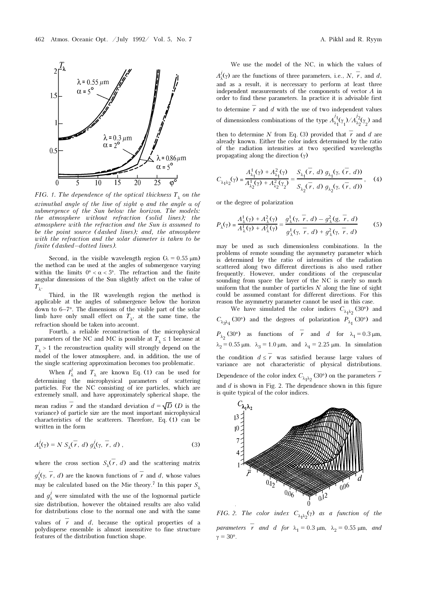

FIG. 1. The dependence of the optical thickness  $T_{\lambda}$  on the azimuthal angle of the line of sight  $\varphi$  and the angle  $\alpha$  of submergence of the Sun below the horizon. The models: the atmosphere without refraction (solid lines); the atmosphere with the refraction and the Sun is assumed to be the point source (dashed lines); and, the atmosphere with the refraction and the solar diameter is taken to be finite (dashed–dotted lines).

Second, in the visible wavelength region ( $\lambda = 0.55 \mu m$ ) the method can be used at the angles of submergence varying within the limits  $0^{\circ} < \alpha < 5^{\circ}$ . The refraction and the finite angular dimensions of the Sun slightly affect on the value of  $T_{\lambda}$ .

Third, in the IR wavelength region the method is applicable at the angles of submergence below the horizon down to 6–7°. The dimensions of the visible part of the solar limb have only small effect on  $T_{\lambda}$ , at the same time, the refraction should be taken into account.

Fourth, a reliable reconstruction of the microphysical parameters of the NC and MC is possible at  $T_{\lambda} \leq 1$  because at  $T_{\lambda} > 1$  the reconstruction quality will strongly depend on the model of the lower atmosphere, and, in addition, the use of the single scattering approximation becomes too problematic.

When  $I^j_\lambda$  and  $T_\lambda$  are known Eq. (1) can be used for determining the microphysical parameters of scattering particles. For the NC consisting of ice particles, which are extremely small, and have approximately spherical shape, the mean radius  $\overline{r}$  and the standard deviation  $d = \sqrt{D}$  (*D* is the variance) of particle size are the most important microphysical

characteristics of the scatterers. Therefore, Eq. (1) can be written in the form

$$
A^j_\lambda(\gamma) = N S_\lambda(\overline{r}, d) g^j_\lambda(\gamma, \overline{r}, d), \qquad (3)
$$

where the cross section  $S_{\lambda}(r, d)$  and the scattering matrix  $g^j_\lambda(\gamma, \vec{r}, d)$  are the known functions of  $\vec{r}$  and d, whose values may be calculated based on the Mie theory.<sup>7</sup> In this paper  $S_1$ and  $g_{\lambda}^{j}$  were simulated with the use of the lognormal particle

size distribution, however the obtained results are also valid for distributions close to the normal one and with the same

values of  $\overline{r}$  and d, because the optical properties of a polydisperse ensemble is almost insensitive to fine structure features of the distribution function shape.

We use the model of the NC, in which the values of

 $A^j_\lambda(\gamma)$  are the functions of three parameters, i.e., N,  $\overline{r}$ , and d, and as a result, it is neccessary to perform at least three independent measurements of the components of vector  $A$  in order to find these parameters. In practice it is advisable first to determine  $\overline{r}$  and  $d$  with the use of two independent values of dimensionless combinations of the type  $A^{j_1}_{\lambda_1}(\gamma_1)/A^{j_2}_{\lambda_2}(\gamma_2)$  and

then to determine N from Eq. (3) provided that  $\bar{r}$  and d are already known. Either the color index determined by the ratio of the radiation intensities at two specified wavelengths propagating along the direction  $(\gamma)$ 

$$
C_{\lambda_1\lambda_2}(\gamma) = \frac{A_{\lambda_1}^1(\gamma) + A_{\lambda_1}^2(\gamma)}{A_{\lambda_2}^1(\gamma) + A_{\lambda_2}^2(\gamma_2)} = \frac{S_{\lambda_1}(\tau, d) g_{\lambda_1}(\gamma, (\tau, d))}{S_{\lambda_2}(\tau, d) g_{\lambda_2}(\gamma, (\tau, d))},
$$
 (4)

or the degree of polarization

$$
P_{\lambda}(\gamma) = \frac{A_{\lambda}^{1}(\gamma) + A_{\lambda}^{2}(\gamma)}{A_{\lambda}^{1}(\gamma) + A_{\lambda}^{2}(\gamma)} = \frac{g_{\lambda}^{1}(\gamma, \overline{r}, d) - g_{\lambda}^{2}(g, \overline{r}, d)}{g_{\lambda}^{1}(\gamma, \overline{r}, d) + g_{\lambda}^{2}(\gamma, \overline{r}, d)}
$$
(5)

may be used as such dimensionless combinations. In the problems of remote sounding the asymmetry parameter which is determined by the ratio of intensities of the radiation scattered along two different directions is also used rather frequently. However, under conditions of the crepuscular sounding from space the layer of the NC is rarely so much uniform that the number of particles  $N$  along the line of sight could be assumed constant for different directions. For this reason the asymmetry parameter cannot be used in this case.

We have simulated the color indices  $C_{\lambda_1 \lambda_2}$  (30°) and  $C_{\lambda_3\lambda_4}$  (30°) and the degrees of polarization  $P_{\lambda_1}$  (30°) and  $P_{\lambda_2}$  (30°) as functions of  $\overline{r}$  and d for  $\lambda_1 = 0.3 \,\mu\text{m}$ ,  $\lambda_2 = 0.55 \,\mu\text{m}$ .  $\lambda_3 = 1.0 \,\mu\text{m}$ , and  $\lambda_4 = 2.25 \,\mu\text{m}$ . In simulation the condition  $d \leq \overline{r}$  was satisfied because large values of variance are not characteristic of physical distributions. Dependence of the color index  $C_{\lambda_1 \lambda_2}$  (30°) on the parameters  $\overline{r}$ and  $d$  is shown in Fig. 2. The dependence shown in this figure is quite typical of the color indices.



FIG. 2. The color index  $C_{\lambda_1\lambda_2}(\gamma)$  as a function of the parameters  $\bar{r}$  and d for  $\lambda_1 = 0.3$  μm,  $\lambda_2 = 0.55$  μm, and  $v = 30^\circ$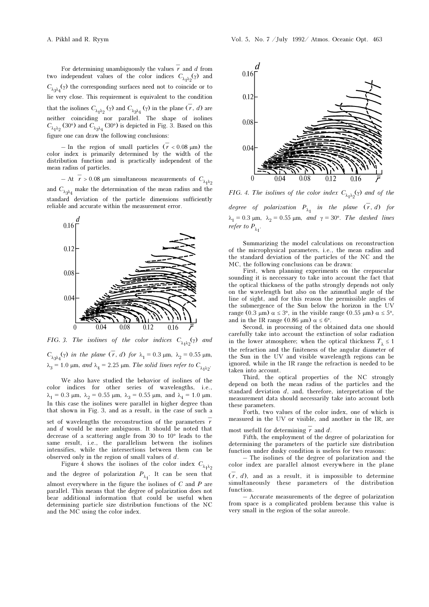For determining unambiguously the values  $\overline{r}$  and d from two independent values of the color indices  $C_{\lambda_1\lambda_2}(\gamma)$  and  $C_{\lambda_3\lambda_4}(\gamma)$  the corresponding surfaces need not to coincide or to lie very close. This requirement is equivalent to the condition that the isolines  $C_{\lambda_1 \lambda_2}(\gamma)$  and  $C_{\lambda_3 \lambda_4}(\gamma)$  in the plane  $(\overline{r}, d)$  are neither coinciding nor parallel. The shape of isolines  $C_{\lambda_1 \lambda_2}$  (30°) and  $C_{\lambda_3 \lambda_4}$  (30°) is depicted in Fig. 3. Based on this figure one can draw the following conclusions:

– In the region of small particles  $(\bar{r} < 0.08 \text{ }\mu\text{m})$  the color index is primarily determined by the width of the distribution function and is practically independent of the mean radius of particles.

– At  $\bar{r} > 0.08$  µm simultaneous measurements of  $C_{\lambda_1 \lambda_2}$ and  $C_{\lambda_3\lambda_4}$  make the determination of the mean radius and the standard deviation of the particle dimensions sufficiently reliable and accurate within the measurement error.



FIG. 3. The isolines of the color indices  $C_{\lambda_1\lambda_2}(\gamma)$  and  $C_{\lambda_3\lambda_4}(\gamma)$  in the plane  $(\overline{r}, d)$  for  $\lambda_1 = 0.3$   $\mu$ m,  $\lambda_2 = 0.55$   $\mu$ m,  $\lambda_3 = 1.0$  μm, and  $\lambda_4 = 2.25$  μm. The solid lines refer to  $C_{\lambda_1 \lambda_2}$ .

We also have studied the behavior of isolines of the color indices for other series of wavelengths, i.e.,  $\lambda_1 = 0.3$  μm,  $\lambda_2 = 0.55$  μm,  $\lambda_3 = 0.55$  μm, and  $\lambda_4 = 1.0$  μm. In this case the isolines were parallel in higher degree than that shown in Fig. 3, and as a result, in the case of such a

set of wavelengths the reconstruction of the parameters  $\overline{r}$ and d would be more ambiguous. It should be noted that decrease of a scattering angle from 30 to 10° leads to the same result, i.e., the parallelism between the isolines intensifies, while the intersections between them can be observed only in the region of small values of d.

Figure 4 shows the isolines of the color index  $C_{\lambda_1\lambda_2}$ and the degree of polarization  $P_{\lambda_1}$ . It can be seen that almost everywhere in the figure the isolines of C and P are parallel. This means that the degree of polarization does not bear additional information that could be useful when determining particle size distribution functions of the NC and the MC using the color index.



FIG. 4. The isolines of the color index  $C_{\lambda_1\lambda_2}(\gamma)$  and of the

degree of polarization  $P_{\lambda_1}$  in the plane  $(\bar{r}, d)$  for  $λ_1 = 0.3 \text{ µm}, \lambda_2 = 0.55 \text{ µm}, \text{ and } γ = 30^\circ.$  The dashed lines *refer to*  $P_{\lambda_1}$ .

Summarizing the model calculations on reconstruction of the microphysical parameters, i.e., the mean radius and the standard deviation of the particles of the NC and the MC, the following conclusions can be drawn:

First, when planning experiments on the crepuscular sounding it is neccessary to take into account the fact that the optical thickness of the paths strongly depends not only on the wavelength but also on the azimuthal angle of the line of sight, and for this reason the permissible angles of the submergence of the Sun below the horizon in the UV range (0.3 μm)  $\alpha \le 3^\circ$ , in the visible range (0.55 μm)  $\alpha \le 5^\circ$ , and in the IR range (0.86 μm)  $\alpha \leq 6^{\circ}$ .

Second, in processing of the obtained data one should carefully take into account the extinction of solar radiation in the lower atmosphere; when the optical thickness  $T<sub>1</sub> \le 1$ the refraction and the finiteness of the angular diameter of the Sun in the UV and visible wavelength regions can be ignored, while in the IR range the refraction is needed to be taken into account.

Third, the optical properties of the NC strongly depend on both the mean radius of the particles and the standard deviation  $d$ , and, therefore, interpretation of the measurement data should necessarily take into account both these parameters.

Forth, two values of the color index, one of which is measured in the UV or visible, and another in the IR, are

most usefull for determining  $\overline{r}$  and d.

Fifth, the employment of the degree of polarization for determining the parameters of the particle size distribution function under dusky condition is useless for two reasons:

– The isolines of the degree of polarization and the color index are parallel almost everywhere in the plane

 $(\overline{r}, d)$ , and as a result, it is impossible to determine simultaneously these parameters of the distribution function.

– Accurate measurements of the degree of polarization from space is a complicated problem because this value is very small in the region of the solar aureole.